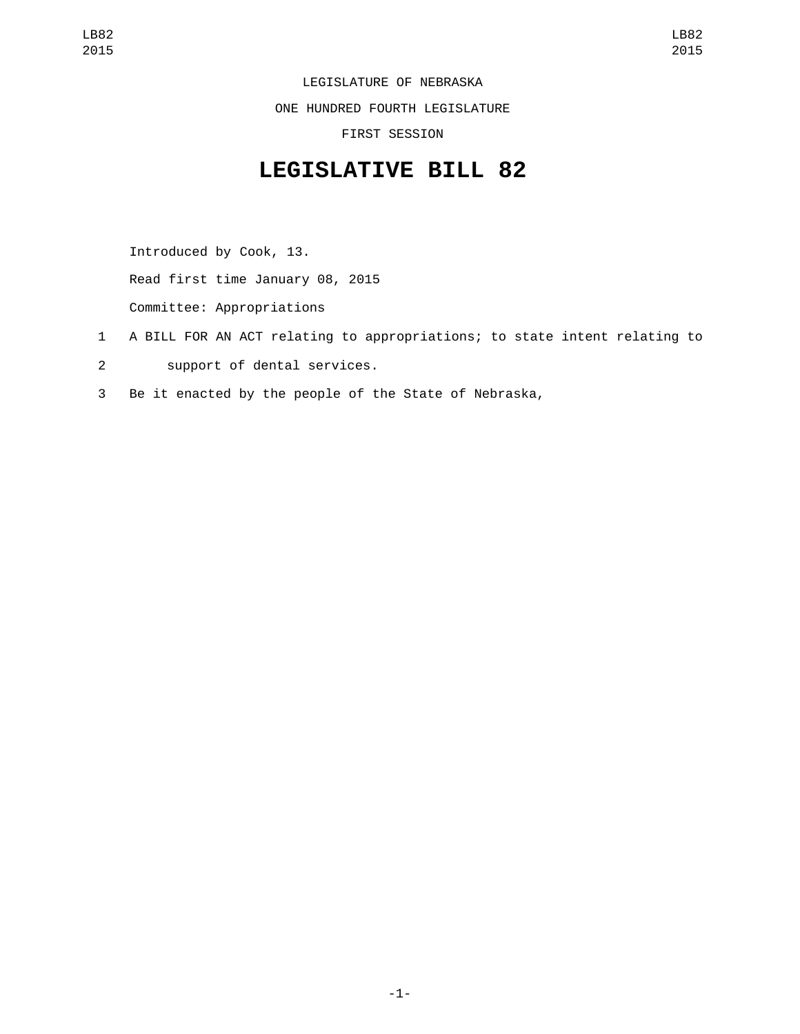LEGISLATURE OF NEBRASKA

ONE HUNDRED FOURTH LEGISLATURE

FIRST SESSION

## **LEGISLATIVE BILL 82**

Introduced by Cook, 13.

Read first time January 08, 2015

Committee: Appropriations

- 1 A BILL FOR AN ACT relating to appropriations; to state intent relating to
- 2 Support of dental services.
- 3 Be it enacted by the people of the State of Nebraska,